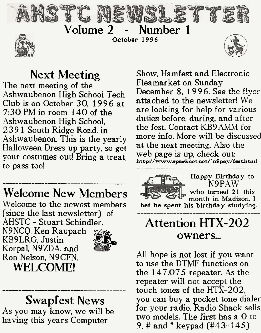

## **Next Meeting** -

The **next** meeting of the Ashwaubenon High School Tech Club **is on** October **3** 0, 1 **9 9** 6 at 7:30 PM in room 140 of **the**  Ashwaubenon High School, 2 **3 9** 1 South Ridge Road, **in Ashwaubenon.** This **is the** yearly Halloween **Dress up party, so get your** costumes out! Bring **a treat.**  to **pass** too!

**Welcome New Members** 

......................................

Welcome **to the newest** members **(since the last** newsletter) of AHSTC - Stuart **Schindler, N 9** NCQ, **Ken Raupach, :q!+,:** *t)*  KB **9** LRG, Justin **+:w: d;z:&. Korpal, NgZDA, and <sup>4</sup> 1920** Ron Nelson, N9CFN. **WELCOME!** 

## **Swapf est News**

**As** you may **know, we** will be having this **years Computer** 

......................................

**Show, Hamfest and** Electronic **Fleamarket** on **Sunday**  December 8, 1996. *See* the flyer **attached** to **the newsletter!** We are **looking** for **help** for various **duties before,** during, and after **the fest.** Contact KB9AMM for more info. More **will** be discussed **at** the **next meeting. Also** the web **page is up, check** out: **h.ttpe//www,sparknet,met/"n9pay/fest,html** 



**owners** ...

**All** hope **is** not lost **if** you want to **use** the DTMF functions on **the** 1 4 **7.07** *5* **repeater. As** the **repeater** will not **accept** the touch **tones of** the HTX-202, you **can** buy **a pocket** tone dialer **for** your radio. Radio **Shack sells**  two models. The **first has a** 0 to **9,** # **and** \* **keypad (#43-145)**